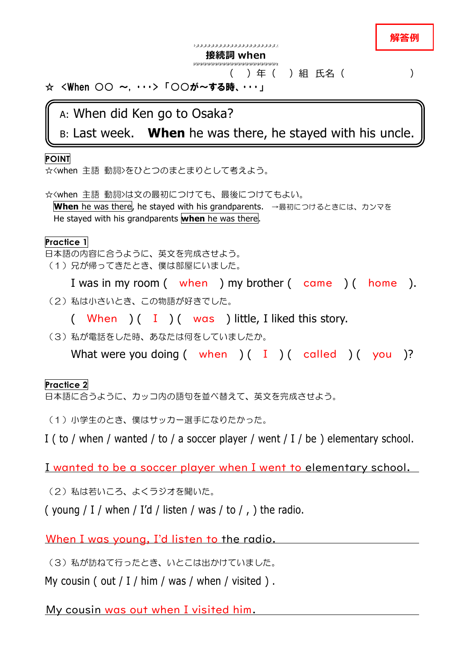| ای کار افراد افراد افراد افراد افراد افراد افراد افراد افراد افراد افراد افراد افراد افراد افراد افراد افراد |          |  |  |  |  |  |              |  |  |  | 11丝 全例 |  |
|--------------------------------------------------------------------------------------------------------------|----------|--|--|--|--|--|--------------|--|--|--|--------|--|
|                                                                                                              | 接続詞 when |  |  |  |  |  |              |  |  |  |        |  |
| こくおくだいだいだいだいだいがいがくだいがく じんじんじんじんじんじんじんじんじんじんじんじょ                                                              |          |  |  |  |  |  |              |  |  |  |        |  |
|                                                                                                              |          |  |  |  |  |  | ) 年( ) 組  氏名 |  |  |  |        |  |

☆ <When ○○ ~, ・・・> 「○○が~する時、・・・」

A: When did Ken go to Osaka?

# B: Last week. **When** he was there, he stayed with his uncle.

#### **POINT**

☆<when 主語 動詞>をひとつのまとまりとして考えよう。

☆<when 主語 動詞>は文の最初につけても、最後につけてもよい。 **When** he was there, he stayed with his grandparents. →最初につけるときには、カンマを He stayed with his grandparents **when** he was there.

#### **Practice 1**

日本語の内容に合うように、英文を完成させよう。

(1)兄が帰ってきたとき、僕は部屋にいました。

I was in my room ( when ) my brother ( came ) ( home ).

(2) 私は小さいとき、この物語が好きでした。

( When  $($  I  $)$  ( was ) little, I liked this story.

(3)私が電話をした時、あなたは何をしていましたか。

What were you doing  $($  when  $)($  I  $)($  called  $)($  you  $)?$ 

### **Practice 2**

日本語に合うように、カッコ内の語句を並べ替えて、英文を完成させよう。

(1) 小学生のとき、僕はサッカー選手になりたかった。

I ( to / when / wanted / to / a soccer player / went / I / be ) elementary school.

I wanted to be a soccer player when I went to elementary school.

(2) 私は若いころ、よくラジオを聞いた。

( young / I / when / I'd / listen / was / to /, ) the radio.

When I was young, I'd listen to the radio.

(3) 私が訪ねて行ったとき、いとこは出かけていました。

My cousin ( out / I / him / was / when / visited ).

My cousin was out when I visited him.